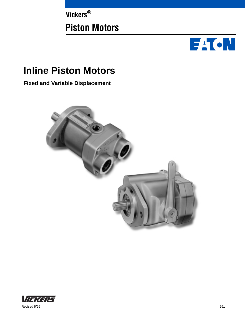**Vickers® Piston Motors**



# **Inline Piston Motors**

**Fixed and Variable Displacement**



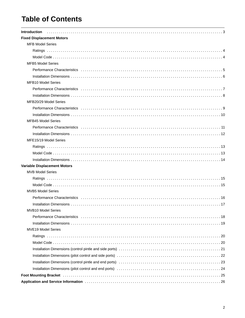# **Table of Contents**

| <b>Introduction</b>                                                                                                                                                                                                            |
|--------------------------------------------------------------------------------------------------------------------------------------------------------------------------------------------------------------------------------|
| <b>Fixed Displacement Motors</b>                                                                                                                                                                                               |
| <b>MFB Model Series</b>                                                                                                                                                                                                        |
|                                                                                                                                                                                                                                |
|                                                                                                                                                                                                                                |
| <b>MFB5 Model Series</b>                                                                                                                                                                                                       |
| Performance Characteristics interesting interesting in the contract of the contract of the contract of the contract of the contract of the contract of the contract of the contract of the contract of the contract of the con |
|                                                                                                                                                                                                                                |
| <b>MFB10 Model Series</b>                                                                                                                                                                                                      |
|                                                                                                                                                                                                                                |
|                                                                                                                                                                                                                                |
| MFB20/29 Model Series                                                                                                                                                                                                          |
|                                                                                                                                                                                                                                |
|                                                                                                                                                                                                                                |
| <b>MFB45 Model Series</b>                                                                                                                                                                                                      |
|                                                                                                                                                                                                                                |
|                                                                                                                                                                                                                                |
| MFE15/19 Model Series                                                                                                                                                                                                          |
|                                                                                                                                                                                                                                |
|                                                                                                                                                                                                                                |
|                                                                                                                                                                                                                                |
| <b>Variable Displacement Motors</b>                                                                                                                                                                                            |
| <b>MVB Model Series</b>                                                                                                                                                                                                        |
|                                                                                                                                                                                                                                |
|                                                                                                                                                                                                                                |
| <b>MVB5 Model Series</b>                                                                                                                                                                                                       |
|                                                                                                                                                                                                                                |
|                                                                                                                                                                                                                                |
| <b>MVB10 Model Series</b>                                                                                                                                                                                                      |
|                                                                                                                                                                                                                                |
|                                                                                                                                                                                                                                |
| <b>MVE19 Model Series</b>                                                                                                                                                                                                      |
|                                                                                                                                                                                                                                |
|                                                                                                                                                                                                                                |
|                                                                                                                                                                                                                                |
|                                                                                                                                                                                                                                |
| Installation Dimensions (control pintle and end ports) matches in the state of the state of the state of 23                                                                                                                    |
|                                                                                                                                                                                                                                |
| Foot Mounting Bracket National Account of the University of Mounting Bracket (1995)                                                                                                                                            |
|                                                                                                                                                                                                                                |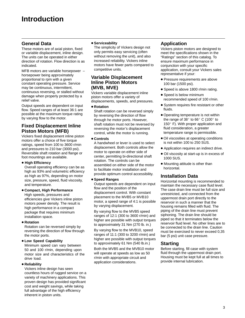#### <span id="page-2-0"></span>**General Data**

These motors are of axial piston, fixed or variable displacement, inline design. The units can be operated in either direction of rotation. Flow direction is as indicated.

MFB motors are variable horsepower – horsepower being approximately proportional to rpm with a given constant operating pressure. Service may be continuous, intermittent, continuous reversing, or stalled without damage when properly protected by a relief valve.

Output speeds are dependent on input flow. Speed ranges of at least 36:1 are possible at the maximum torque rating by varying flow to the motor.

#### **Fixed Displacement Inline Piston Motors (MFB)**

Vickers fixed displacement inline piston motors offer a choice of five torque ratings, speed from 100 to 3600 r/min and pressures to 210 bar (3000 psi). Reversible shaft rotation and flange or foot mountings are available.

#### **High Efficiency**

Overall operating efficiency can be as high as 93% and volumetric efficiency as high as 97%, depending on motor size, pressure, speed, fluid viscosity, and temperature.

#### **Compact, High Performance**

High speeds, pressures and efficiencies give Vickers inline piston motors power density. The result is high performance in a compact package that requires minimum installation space.

#### **Rotation**

Rotation can be reversed simply by reversing the direction of flow through the motor ports.

#### **Low Speed Capability**

Minimum speed can vary between 50 and 100 r/min, depending upon motor size and characteristics of the drive load.

#### **Reliability**

Vickers inline design has seen countless hours of rugged service on a variety of machinery applications. This proven design has provided significant cost and weight savings, while taking full advantage of the high efficiency inherent in piston units.

#### $\bullet$  **Serviceability**

The simplicity of Vickers design not only permits easy servicing (often without removing the unit), and also increased reliability. Vickers inline motors have fewer parts compared to competitive units.

#### **Variable Displacement Inline Piston Motors (MVB, MVE)**

Vickers variable displacement inline piston motors offer a variety of displacements, speeds, and pressures.

#### **Rotation**

Shaft rotation can be reversed simply by reversing the direction of flow through he motor ports. However, shaft rotation must not be reversed by reversing the motor's displacement control, while the motor is running.

#### **Controls**

A handwheel or lever is used to select displacement. Both controls allow the motor to operate on either side of center, permitting bi-directional shaft rotation. The controls can be assembled on either side of the motor to facilitate motor installation and provide optimum control accessibility.

#### **Speed Ranges**

Output speeds are dependent on input flow and the position of the displacement control. With constant placement to the MVB5 or MVB10 motor, a speed range of 4:1 is possible by varying displacement.

By varying flow to the MVB5 speed ranges of 12:1 (300 to 3600 r/min) and higher are possible with output torques to approximately 31 Nm (270 lb. in.)

By varying flow to the MVB10, speed ranges of 11:1 (300 to 3200 r/min) and higher are possible with output torques to approximately 61 Nm (540 lb.in.)

Both the MVB5 and the MVB10 motor will operate at speeds as low as 50 r/min with appropriate circuit and application considerations.

#### **Application**

Vickers piston motors are designed to meet the specifications shown in the "Ratings" section of this catalog. To ensure maximum performance in conjunction with your specific application, consult your Vickers sales representative if your:

- **Pressure requirements are above** 100 bar (1500 psi).
- Speed is above 1800 r/min rating.
- Speed is below minimum recommended speed of 100 r/min.
- System requires fire resistant or other fluids.
- Operating temperature is not within the range of  $38^\circ$  to  $66^\circ$  C (100 $^\circ$  to 150° F). With proper application and fluid consideration, a greater temperature range is permissible.
- Oil viscosities at operating conditions is not within 100 to 250 SUS.
- Application requires an indirect drive.
- Oil viscosity at start-up is in excess of 1000 SUS.
- Mounting attitude is other than horizontal.

#### **Installation Data**

Horizontal mounting is recommended to maintain the necessary case fluid level. The case drain line must be full size and unrestricted, and connected from the uppermost drain port directly to the reservoir in such a manner that the housing remains filled with fluid. The piping of the drain line must prevent siphoning. The drain line should be piped so that it terminates below the reservoir fluid level. No other lines are to be connected to the drain line. Caution must be exercised to never exceed 0,35 bar (5 psi) unit case pressure.

#### **Starting**

Before starting, fill case with system fluid through the uppermost drain port. Housing must be kept full at all times to provide internal lubrication.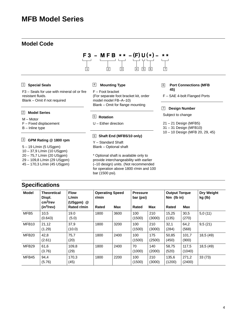### <span id="page-3-0"></span>**MFB Model Series**

#### **Model Code**



#### 1 **Special Seals**

F3 – Seals for use with mineral oil or fire resistant fluids. Blank – Omit if not required

#### 2 **Model Series**

M – Motor

F – Fixed displacement

B – Inline type

#### **GPM Rating @ 1800 rpm** 3

5 – 19 L/min (5 USgpm)

**Specifications**

10 – 37,9 L/min (10 USgpm) 20 – 75,7 L/min (20 USgpm)

29 – 109,8 L/min (29 USgpm)

45 – 170,3 L/min (45 USgpm)

#### **Mounting Type** 4

F – Foot bracket (For separate foot bracket kit, order model model FB–A–10) Blank – Omit for flange mounting

#### **Rotation** 5

U – Either direction

#### **Shaft End (MFB5/10 only)** 6

Y – Standard Shaft Blank – Optional shaft

\* Optional shaft is available only to provide interchangeability with earlier (–10 design) units. (Not recommended for operation above 1800 r/min and 100 bar (1500 psi).

#### **Port Connections (MFB 45)** 6

F – SAE 4-bolt Flanged Ports

#### **7** Design Number

Subject to change

- 21 21 Design (MFB5) 31 – 31 Design (MFB10)
- 10 10 Design (MFB 20, 29, 45)

| <b>Model</b>      | Theoretical<br>Displ.                          | <b>Flow</b><br>L/min     | <b>Operating Speed</b><br>r/min |      | <b>Pressure</b><br>bar (psi) |               | <b>Output Torque</b><br>$Nm$ (lb in) |                 | <b>Dry Weight</b><br>kg (lb) |
|-------------------|------------------------------------------------|--------------------------|---------------------------------|------|------------------------------|---------------|--------------------------------------|-----------------|------------------------------|
|                   | cm <sup>3</sup> /rev<br>(in <sup>3</sup> /rev) | (USgpm) @<br>Rated r/min | Rated                           | Max  | <b>Rated</b>                 | <b>Max</b>    | Rated                                | Max             |                              |
| MFB <sub>5</sub>  | 10,5<br>(0.643)                                | 19.0<br>(5.0)            | 1800                            | 3600 | 100<br>(1500)                | 210<br>(3000) | 15,25<br>(135)                       | 30,5<br>(270)   | 5,0(11)                      |
| MFB10             | 21,12<br>(1.29)                                | 37,9<br>(10.0)           | 1800                            | 3200 | 100<br>(1500)                | 210<br>(3000) | 32,1<br>(284)                        | 64,2<br>(568)   | 9,5(21)                      |
| MFB <sub>20</sub> | 42,8<br>(2.61)                                 | 75,7<br>(20)             | 1800                            | 2400 | 100<br>(1500)                | 175<br>(2500) | 50,85<br>(450)                       | 101,7<br>(900)  | 18,5 (49)                    |
| MFB <sub>29</sub> | 61,6<br>(3.76)                                 | 109,8<br>(29)            | 1800                            | 2400 | 70<br>(1000)                 | 140<br>(2000) | 58,75<br>(520)                       | 117,5<br>(1040) | 18,5 (49)                    |
| MFB45             | 94,4<br>(5.76)                                 | 170,3<br>(45)            | 1800                            | 2200 | 100<br>(1500)                | 210<br>(3000) | 135,6<br>(1200)                      | 271,2<br>(2400) | 33(73)                       |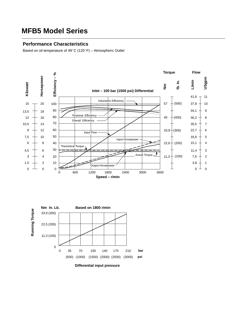### <span id="page-4-0"></span>**MFB5 Model Series**

#### **Performance Characteristics**

Based on oil temperature of  $49^{\circ}$ C (120 $^{\circ}$ F) - Atmospheric Outlet



(500) (1000) (1500) (2000) (2500) (3000)

**psi**

**Differential input pressure**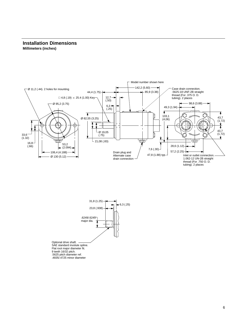#### <span id="page-5-0"></span>**Installation Dimensions Millimeters (inches)**



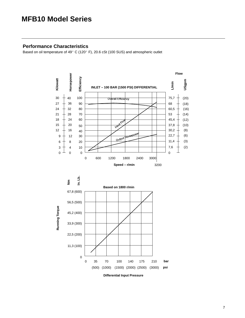### <span id="page-6-0"></span>**MFB10 Model Series**

#### **Performance Characteristics**

Based on oil temperature of 49 $^{\circ}$  C (120 $^{\circ}$  F), 20.6 cSt (100 SUS) and atmospheric outlet

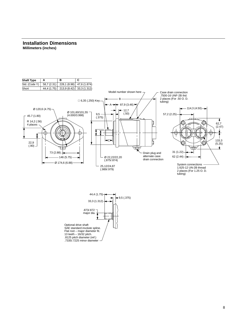#### <span id="page-7-0"></span>**Installation Dimensions Millimeters (inches)**



SAE standard involute spline. Flat root – major diameter fit. 13 teeth – 16/32 pitch. .8125 pitch diameter (ref.) .7335/.7225 minor diameter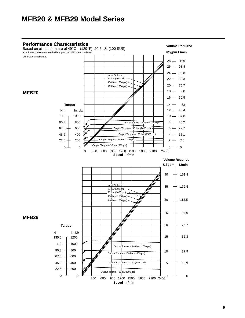<span id="page-8-0"></span>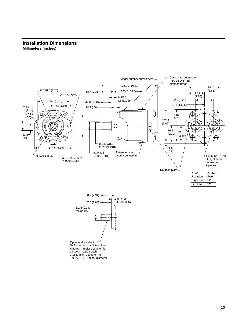#### <span id="page-9-0"></span>**Installation Dimensions Millimeters (inches)**



SAE standard involute spline. Flat root – major diameter fit. 14 teeth – 12/24 pitch. 1.1667 pitch diameter (ref.) 1.0627/1.0497 minor diameter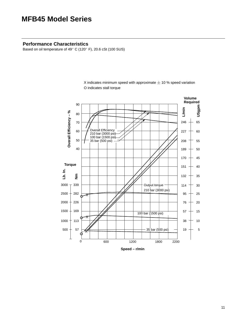### <span id="page-10-0"></span>**MFB45 Model Series**

#### **Performance Characteristics**

Based on oil temperature of 49° C (120° F), 20.6 cSt (100 SUS)



X indicates minimum speed with approximate  $\pm$  10 % speed variation O indicates stall torque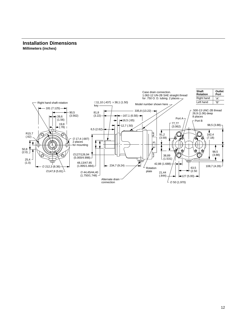#### <span id="page-11-0"></span>**Installation Dimensions Millimeters (inches)**

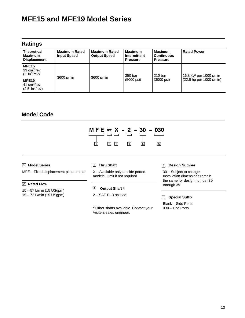# <span id="page-12-0"></span>**MFE15 and MFE19 Model Series**

#### **Ratings**

| <b>Theoretical</b><br><b>Maximum</b><br><b>Displacement</b>          | <b>Maximum Rated</b><br><b>Input Speed</b> | <b>Maximum Rated</b><br><b>Output Speed</b> | <b>Maximum</b><br>Intermittent<br><b>Pressure</b> | <b>Maximum</b><br><b>Continuous</b><br><b>Pressure</b> | <b>Rated Power</b>                                   |  |
|----------------------------------------------------------------------|--------------------------------------------|---------------------------------------------|---------------------------------------------------|--------------------------------------------------------|------------------------------------------------------|--|
| MFE <sub>15</sub><br>33 $cm3/rev$<br>$(2 \text{ in}^3/\text{rev})$   | 3600 r/min                                 | 3600 r/min                                  | 350 bar                                           | 210 <sub>bar</sub>                                     | 16,8 kW per 1000 r/min<br>$(22.5$ hp per 1000 r/min) |  |
| MFE <sub>19</sub><br>41 $cm3/rev$<br>$(2.5 \text{ in}^3/\text{rev})$ |                                            |                                             | $(5000 \,\text{psi})$                             | $(3000 \,\text{psi})$                                  |                                                      |  |

### **Model Code**



#### 1 **Model Series**

MFE – Fixed displacement piston motor

#### 2 **Rated Flow**

- 15 57 L/min (15 USgpm)
- 19 72 L/min (19 USgpm)

#### **Thru Shaft**

X – Available only on side ported models. Omit if not required

- **Output Shaft \*** 4
- 2 SAE B–B splined

\* Other shafts available. Contact your Vickers sales engineer.

#### 3 5 **Design Number**

30 – Subject to change. Installation dimensions remain the same for design number 30 through 39

#### **Special Suffix** 6

Blank – Side Ports 030 – End Ports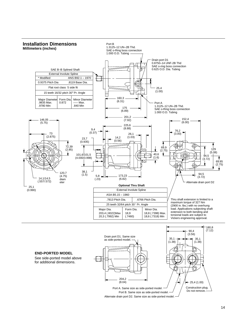<span id="page-13-0"></span>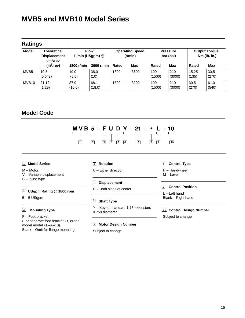# <span id="page-14-0"></span>**MVB5 and MVB10 Model Series**

|                   | <b>Ratings</b>                                                    |                                    |                |                                   |      |                              |               |                                      |               |
|-------------------|-------------------------------------------------------------------|------------------------------------|----------------|-----------------------------------|------|------------------------------|---------------|--------------------------------------|---------------|
| <b>Model</b>      | <b>Theoretical</b><br><b>Displacement</b><br>cm <sup>3</sup> /rev | <b>Flow</b><br>$L/min$ (USgpm) $@$ |                | <b>Operating Speed</b><br>(r/min) |      | <b>Pressure</b><br>bar (psi) |               | <b>Output Torque</b><br>Nm (lb. in.) |               |
|                   | $(in^3$ /rev)                                                     | 1800 r/min                         | 3600 r/min     | Rated                             | Max  | Rated                        | <b>Max</b>    | Rated                                | Max           |
| MVB <sub>5</sub>  | 10,5<br>(0.643)                                                   | 19,0<br>(5.0)                      | 38.0<br>(10)   | 1800                              | 3600 | 100<br>(1500)                | 210<br>(3000) | 15,25<br>(135)                       | 30,5<br>(270) |
| MVB <sub>10</sub> | 21,12<br>(1.29)                                                   | 37.9<br>(10.0)                     | 68,1<br>(18.0) | 1800                              | 3200 | 100<br>(1500)                | 210<br>(3000) | 30.5<br>(270)                        | 61,0<br>(540) |

### **Model Code**



#### 1 **Model Series**

M – Motor

#### **Rotation** 4

- U Either direction
- 

#### 2 **USgpm Rating @ 1800 rpm**

V – Variable displacement

 $5 - 5$  USgpm

B – Inline type

F – Foot bracket (For separate foot bracket kit, order model model FB–A–10) Blank – Omit for flange mounting

### **Displacement** 5

- D Both sides of center
- **Shaft Type** 6
- **Mounting Type** 3 10 Y – Keyed, standard 1.75 extension, 0.759 diameter
	- **Motor Design Number** 7

Subject to change

#### **Control Type** 8

H – Handwheel M – Lever

#### **9** Control Position

L – Left hand Blank – Right hand

#### **10 Control Design Number**

Subject to change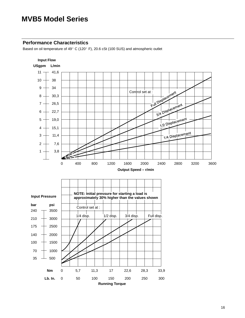### <span id="page-15-0"></span>**MVB5 Model Series**

#### **Performance Characteristics**

Based on oil temperature of 49 $^{\circ}$  C (120 $^{\circ}$  F), 20.6 cSt (100 SUS) and atmospheric outlet

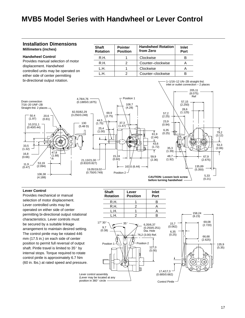### <span id="page-16-0"></span>**MVB5 Model Series with Handwheel or Lever Control**

#### **Installation Dimensions**

#### **Millimeters (inches)**

#### **Handwheel Control**

Provides manual selection of motor displacement. Handwheel controlled units may be operated on either side of center permitting bi-directional output rotation.

| <b>Shaft</b><br><b>Rotation</b> | <b>Pointer</b><br><b>Position</b> | <b>Handwheel Rotation</b><br>from Zero | Inlet<br>Port |
|---------------------------------|-----------------------------------|----------------------------------------|---------------|
| R H                             |                                   | Clockwise                              |               |
| R.H.                            |                                   | Counter-clockwise                      |               |
| IH.                             |                                   | Clockwise                              |               |
| H                               |                                   | Counter-clockwise                      |               |





#### **Lever Control**

Provides mechanical or manual selection of motor displacement. Lever controlled units may be operated on either side of center permitting bi-directional output rotational characteristics. Lever controls must be secured by a suitable linkage arrangement to maintain desired setting. The control pintle may be rotated 446 mm (17.5 in.) on each side of center position to permit full reversal of output shaft. Pintle travel is limited to  $35^{\circ}$  by internal stops. Torque required to rotate control pintle is approximately 6.7 Nm (60 in. lbs.) at rated speed and pressure.

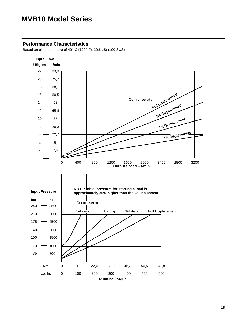### <span id="page-17-0"></span>**MVB10 Model Series**

#### **Performance Characteristics**

Based on oil temperature of 49° C (120° F), 20.6 cSt (100 SUS)

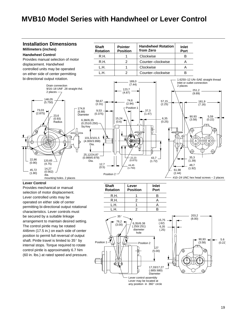### <span id="page-18-0"></span>**MVB10 Model Series with Handwheel or Lever Control**

#### **Installation Dimensions Shaft Pointer Handwheel Rotation Inlet Millimeters (inches) Rotation Position from Zero Port Handwheel Control Clockwise** R.H. B 1 Provides manual selection of motor R.H. 2 Counter–clockwise A displacement. Handwheel L.H. 1 Clockwise A controlled units may be operated L.H. 2 B Counter–clockwise on either side of center permitting bi-directional output rotation. 1.6250–12 UN–SAE straight thread 189,0 Inlet or outlet connection (7.44) Drain connection 2 places 9/16–18 UNF .28 straight thd. 123,7 251,2 2 places  $(4.87)$ (9.89) 146,05 58,67 74,6 57,15 181,9 (5.750) (2.94) (2.31)  $(2.25)$ (7.16) 174,8 Position 1 73,03 9,53 37,3 (6.88)  $(2.875)$   $\sqrt{23.6}$ (0.375) (1.47) Diameter 90.93 5,59  $(0.93)$ 15,24 6,35 (3.58)  $(0.22)$ 6,38//6,35 (0.6)  $(0.25)$ Radius (0.251/0.250) Sq Key 計 ⊕ ∱ 101,6/101,5 (4.000/3.998) A B Dia. ⊕ € 25,12/24,87 35,3 (0.989/0.979) 22,23 43,7 22,86 120,65 Dia. (0.875)  $(1.72)$ (1.39) (0.90) (4.75) 12,7 44,45 48,7  $(0.5)$ 14,27 (1.750) (1.92) 61,98 45,72 (0.562)  $(2.44)$  $(1.80)$ Position 2 dia. #10–24 UNC hex head screws – 2 places mounting holes. 2 places

#### **Lever Control**

Provides mechanical or manual selection of motor displacement. Lever controlled units may be operated on either side of center permitting bi-directional output rotational characteristics. Lever controls must be secured by a suitable linkage arrangement to maintain desired setting. The control pintle may be rotated 446mm (17.5 in.) on each side of center position to permit full reversal of output shaft. Pintle travel is limited to  $35^{\circ}$  by internal stops. Torque required to rotate control pintle is approximately 6.7 Nm (60 in. lbs.) at rated speed and pressure.

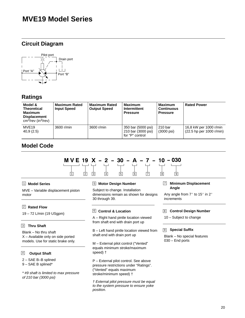### <span id="page-19-0"></span>**MVE19 Model Series**

### **Circuit Diagram**



### **Ratings**

| Model &<br><b>Theoretical</b><br><b>Maximum</b><br><b>Displacement</b><br>$cm^3$ /rev (in $^3$ /rev) | <b>Maximum Rated</b><br><b>Input Speed</b> | <b>Maximum Rated</b><br><b>Output Speed</b> | <b>Maximum</b><br>Intermittent<br><b>Pressure</b>           | <b>Maximum</b><br><b>Continuous</b><br><b>Pressure</b> | <b>Rated Power</b>                                   |
|------------------------------------------------------------------------------------------------------|--------------------------------------------|---------------------------------------------|-------------------------------------------------------------|--------------------------------------------------------|------------------------------------------------------|
| MVE <sub>19</sub><br>40.9(2.5)                                                                       | 3600 r/min                                 | 3600 r/min                                  | 350 bar (5000 psi)<br>210 bar (3000 psi)<br>for "P" control | 210 <sub>bar</sub><br>$(3000 \text{ psi})$             | 16,8 kW per 1000 r/min<br>$(22.5$ hp per 1000 r/min) |

### **Model Code**



#### 1 **Model Series**

MVE – Variable displacement piston motor

#### 2 **Rated Flow**

19 – 72 L/min (19 USgpm)

#### **Thru Shaft** 3

Blank – No thru shaft X – Available only on side ported models. Use for static brake only.

#### **Output Shaft** 4

2 – SAE B–B splined

9 – SAE B splined\*

\* #9 shaft is limited to max pressure of 210 bar (3000 psi)

#### 5 **Motor Design Number**

Subject to change. Installation dimensions remain as shown for designs 30 through 39.

#### 6 **Control & Location**

A – Right hand pintle location viewed from shaft end with drain port up

B – Left hand pintle location viewed from shaft end with drain port up

M – External pilot control ("Vented" equals minimum stroke/maximum speed) †

P – External pilot control. See above pressure restrictions under "Ratings". ("Vented" equals maximum stroke/minimum speed) †

† External pilot pressure must be equal to the system pressure to ensure yoke position.

#### **Minimum Displacement** 7 **Angle**

Any angle from  $7^{\circ}$  to 15 $^{\circ}$  in 2 $^{\circ}$ increments

#### 8 **Control Design Number**

10 – Subject to change

#### **Special Suffix** 9

Blank – No special features 030 – End ports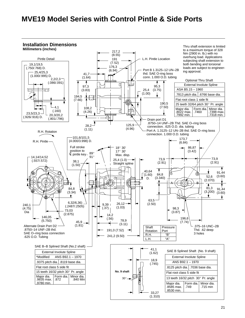### <span id="page-20-0"></span>**MVE19 Model Series with Control Pintle & Side Ports**

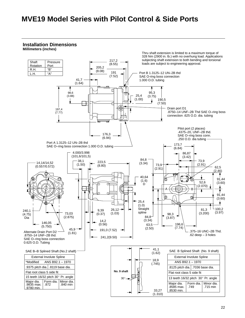### <span id="page-21-0"></span>**MVE19 Model Series with Pilot Control & Side Ports**

#### **Installation Dimensions**

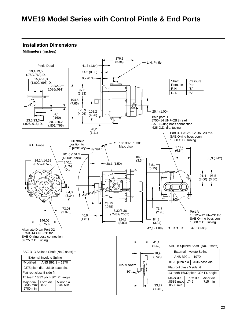### <span id="page-22-0"></span>**MVE19 Model Series with Control Pintle & End Ports**

**Installation Dimensions**

**Millimeters (inches)**

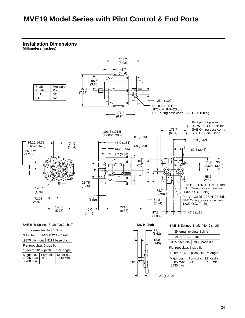### <span id="page-23-0"></span> **MVE19 Model Series with Pilot Control & End Ports**

**Installation Dimensions Millimeters (inches)**

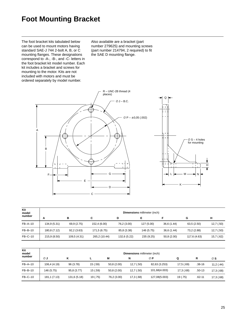### <span id="page-24-0"></span>**Foot Mounting Bracket**

The foot bracket kits tabulated below can be used to mount motors having standard SAE-J 744 2-bolt A, B, or C mounting flanges. These designations correspond to -A-, -B-, and -C- letters in the foot bracket kit model number. Each kit includes a bracket and screws for mounting to the motor. Kits are not included with motors and must be ordered separately by model number.

Also available are a bracket (part number 279625) and mounting screws (part number 214794, 2 required) to fit the SAE D mounting flange.



| Kit<br>model  | <b>Dimensions</b> millimeter (inch) |              |               |              |            |             |              |           |  |
|---------------|-------------------------------------|--------------|---------------|--------------|------------|-------------|--------------|-----------|--|
| number        | A                                   | в            | С             | D            | Е          |             | G            | н         |  |
| FB-A-10       | 134,9 (5.31)                        | 69,9 (2.75)  | 152,4 (6.00)  | 76,2 (3.00)  | 127 (5.00) | 36,6 (1.44) | 63,5 (2.50)  | 12,7(.50) |  |
| $FB - B - 10$ | 180,8 (7.12)                        | 92,2(3.63)   | 171,5 (6.75)  | 85,8 (3.38)  | 146 (5.75) | 36,6 (1.44) | 73,2 (2.88)  | 12,7(.50) |  |
| $FB$ –C–10    | 215,9 (8.50)                        | 109,5 (4.31) | 265,2 (10.44) | 132,6 (5.22) | 235 (9.25) | 50.8(2.00)  | 117,6 (4.63) | 15,7(.62) |  |

| Kit<br>model  | <b>Dimensions</b> millimeter (inch) |              |          |             |           |               |            |            |            |  |  |
|---------------|-------------------------------------|--------------|----------|-------------|-----------|---------------|------------|------------|------------|--|--|
| number        | ⊘J                                  | Κ            |          | M           | N         | ∅P            | Q          | R          | ∅S         |  |  |
| $FB - A - 10$ | 106,4 (4.19)                        | 96 (3.78)    | 15(.59)  | 50,8(2.00)  | 12,7(.50) | 82,63 (3.253) | 17,5 (.69) | $.38 - 16$ | 11,2(.44)  |  |  |
| $FB-B-10$     | 146 (5.75)                          | 95,8 (3.77)  | 15(.59)  | 50,8(2.00)  | 12,7(.50) | 101,68(4.003) | 17,3 (.68) | $.50 - 13$ | 17,3 (.68) |  |  |
| $FB-C-10$     | 181,1 (7.13)                        | 131,6 (5.18) | 19 (.75) | 76,2 (3.00) | 17,3(.68) | 127,08(5.003) | 19 (.75)   | $.62 - 11$ | 17,3 (.68) |  |  |